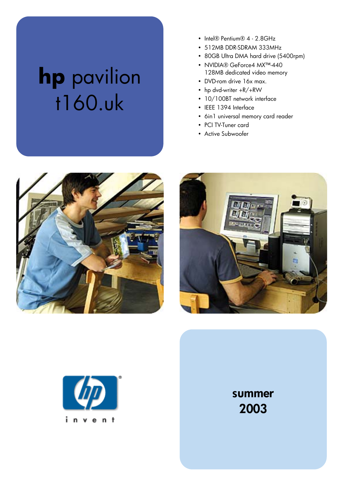## **hp** pavilion t160.uk

- Intel® Pentium® 4 2.8GHz
- 512MB DDR-SDRAM 333MHz
- 80GB Ultra DMA hard drive (5400rpm)
- NVIDIA® GeForce4 MX™-440 128MB dedicated video memory
- DVD-rom drive 16x max.
- hp dvd-writer +R/+RW
- 10/100BT network interface
- IEEE 1394 Interface
- 6in1 universal memory card reader
- PCI TV-Tuner card
- Active Subwoofer







summer 2003